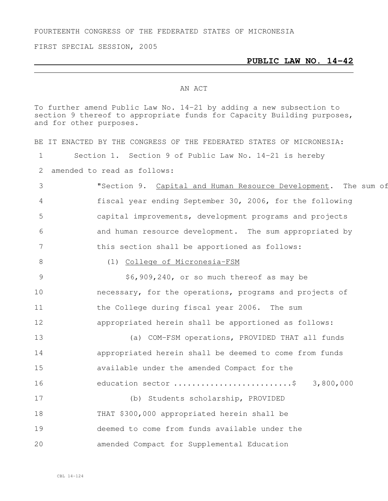FOURTEENTH CONGRESS OF THE FEDERATED STATES OF MICRONESIA

FIRST SPECIAL SESSION, 2005

## **PUBLIC LAW NO. 14-42**

## AN ACT

To further amend Public Law No. 14-21 by adding a new subsection to section 9 thereof to appropriate funds for Capacity Building purposes, and for other purposes.

|                 | BE IT ENACTED BY THE CONGRESS OF THE FEDERATED STATES OF MICRONESIA: |
|-----------------|----------------------------------------------------------------------|
|                 | Section 1. Section 9 of Public Law No. 14-21 is hereby               |
|                 | 2 amended to read as follows:                                        |
| $\mathcal{S}$   | "Section 9. Capital and Human Resource Development. The sum of       |
| $\overline{4}$  | fiscal year ending September 30, 2006, for the following             |
| 5               | capital improvements, development programs and projects              |
| 6               | and human resource development. The sum appropriated by              |
| $7\overline{ }$ | this section shall be apportioned as follows:                        |
| 8               | (1) College of Micronesia-FSM                                        |
| 9               | \$6,909,240, or so much thereof as may be                            |
| 10              | necessary, for the operations, programs and projects of              |
| 11              | the College during fiscal year 2006. The sum                         |
| 12              | appropriated herein shall be apportioned as follows:                 |
| 13              | (a) COM-FSM operations, PROVIDED THAT all funds                      |
| 14              | appropriated herein shall be deemed to come from funds               |
| 15              | available under the amended Compact for the                          |
| 16              | education sector \$ 3,800,000                                        |
| 17              | (b) Students scholarship, PROVIDED                                   |
| 18              | THAT \$300,000 appropriated herein shall be                          |
| 19              | deemed to come from funds available under the                        |
| 20              | amended Compact for Supplemental Education                           |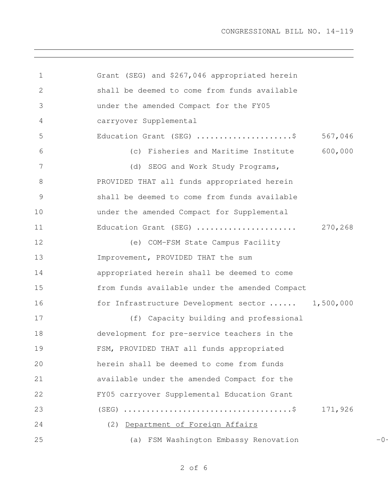| $\mathbf 1$     | Grant (SEG) and \$267,046 appropriated herein    |         |       |
|-----------------|--------------------------------------------------|---------|-------|
| $\mathbf{2}$    | shall be deemed to come from funds available     |         |       |
| 3               | under the amended Compact for the FY05           |         |       |
| 4               | carryover Supplemental                           |         |       |
| 5               | Education Grant (SEG) \$                         | 567,046 |       |
| 6               | (c) Fisheries and Maritime Institute             | 600,000 |       |
| $7\phantom{.0}$ | (d) SEOG and Work Study Programs,                |         |       |
| 8               | PROVIDED THAT all funds appropriated herein      |         |       |
| $\mathcal{G}$   | shall be deemed to come from funds available     |         |       |
| 10              | under the amended Compact for Supplemental       |         |       |
| 11              | Education Grant (SEG)  270,268                   |         |       |
| 12              | (e) COM-FSM State Campus Facility                |         |       |
| 13              | Improvement, PROVIDED THAT the sum               |         |       |
| 14              | appropriated herein shall be deemed to come      |         |       |
| 15              | from funds available under the amended Compact   |         |       |
| 16              | for Infrastructure Development sector  1,500,000 |         |       |
| 17              | (f) Capacity building and professional           |         |       |
| 18              | development for pre-service teachers in the      |         |       |
| 19              | FSM, PROVIDED THAT all funds appropriated        |         |       |
| 20              | herein shall be deemed to come from funds        |         |       |
| 21              | available under the amended Compact for the      |         |       |
| 22              | FY05 carryover Supplemental Education Grant      |         |       |
| 23              |                                                  | 171,926 |       |
| 24              | (2) Department of Foreign Affairs                |         |       |
| 25              | (a) FSM Washington Embassy Renovation            |         | $-0-$ |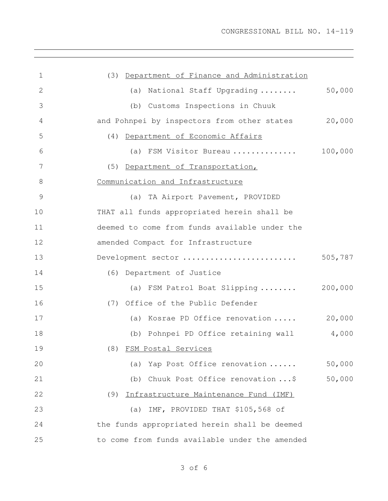| 1  | (3) Department of Finance and Administration   |         |
|----|------------------------------------------------|---------|
| 2  | (a) National Staff Upgrading                   | 50,000  |
| 3  | (b) Customs Inspections in Chuuk               |         |
| 4  | and Pohnpei by inspectors from other states    | 20,000  |
| 5  | (4) Department of Economic Affairs             |         |
| 6  | (a) FSM Visitor Bureau                         | 100,000 |
| 7  | (5) Department of Transportation,              |         |
| 8  | Communication and Infrastructure               |         |
| 9  | (a) TA Airport Pavement, PROVIDED              |         |
| 10 | THAT all funds appropriated herein shall be    |         |
| 11 | deemed to come from funds available under the  |         |
| 12 | amended Compact for Infrastructure             |         |
| 13 | Development sector                             | 505,787 |
| 14 | (6) Department of Justice                      |         |
| 15 | (a) FSM Patrol Boat Slipping  200,000          |         |
| 16 | (7) Office of the Public Defender              |         |
| 17 | (a) Kosrae PD Office renovation                | 20,000  |
| 18 | (b) Pohnpei PD Office retaining wall 4,000     |         |
| 19 | (8) FSM Postal Services                        |         |
| 20 | (a) Yap Post Office renovation                 | 50,000  |
| 21 | (b) Chuuk Post Office renovation  \$           | 50,000  |
| 22 | (9) Infrastructure Maintenance Fund (IMF)      |         |
| 23 | (a) IMF, PROVIDED THAT \$105,568 of            |         |
| 24 | the funds appropriated herein shall be deemed  |         |
| 25 | to come from funds available under the amended |         |

of 6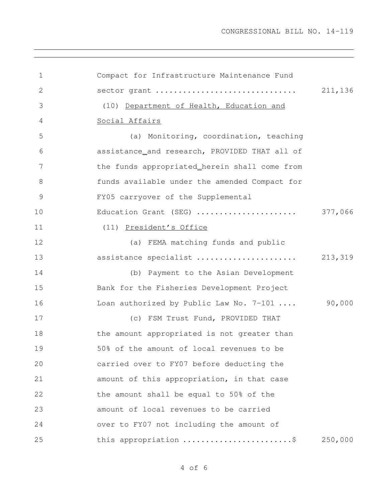| 1             | Compact for Infrastructure Maintenance Fund   |         |
|---------------|-----------------------------------------------|---------|
| 2             | sector grant                                  | 211,136 |
| 3             | (10) Department of Health, Education and      |         |
| 4             | Social Affairs                                |         |
| 5             | (a) Monitoring, coordination, teaching        |         |
| 6             | assistance_and research, PROVIDED THAT all of |         |
| 7             | the funds appropriated_herein shall come from |         |
| 8             | funds available under the amended Compact for |         |
| $\mathcal{G}$ | FY05 carryover of the Supplemental            |         |
| 10            | Education Grant (SEG)                         | 377,066 |
| 11            | (11) President's Office                       |         |
| 12            | (a) FEMA matching funds and public            |         |
| 13            | assistance specialist                         | 213,319 |
| 14            | (b) Payment to the Asian Development          |         |
| 15            | Bank for the Fisheries Development Project    |         |
| 16            | Loan authorized by Public Law No. 7-101       | 90,000  |
| 17            | (c) FSM Trust Fund, PROVIDED THAT             |         |
| 18            | the amount appropriated is not greater than   |         |
| 19            | 50% of the amount of local revenues to be     |         |
| 20            | carried over to FY07 before deducting the     |         |
| 21            | amount of this appropriation, in that case    |         |
| 22            | the amount shall be equal to 50% of the       |         |
| 23            | amount of local revenues to be carried        |         |
| 24            | over to FY07 not including the amount of      |         |
| 25            | this appropriation \$                         | 250,000 |

of 6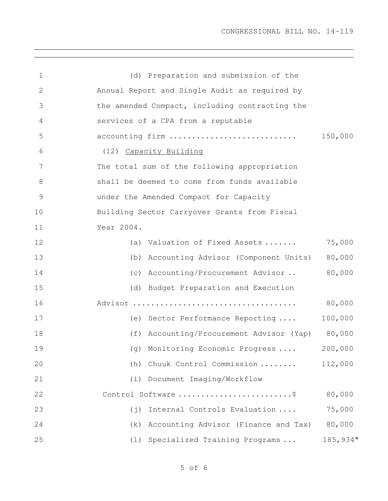| 1             | (d) Preparation and submission of the                 |          |  |  |  |  |  |  |  |
|---------------|-------------------------------------------------------|----------|--|--|--|--|--|--|--|
| 2             | Annual Report and Single Audit as required by         |          |  |  |  |  |  |  |  |
| 3             | the amended Compact, including contracting the        |          |  |  |  |  |  |  |  |
| 4             | services of a CPA from a reputable                    |          |  |  |  |  |  |  |  |
| 5             | accounting firm                                       | 150,000  |  |  |  |  |  |  |  |
| 6             | (12) Capacity Building                                |          |  |  |  |  |  |  |  |
| 7             | The total sum of the following appropriation          |          |  |  |  |  |  |  |  |
| 8             | shall be deemed to come from funds available          |          |  |  |  |  |  |  |  |
| $\mathcal{G}$ | under the Amended Compact for Capacity                |          |  |  |  |  |  |  |  |
| 10            | Building Sector Carryover Grants from Fiscal          |          |  |  |  |  |  |  |  |
| 11            | Year 2004.                                            |          |  |  |  |  |  |  |  |
| 12            | Valuation of Fixed Assets<br>(a)                      | 75,000   |  |  |  |  |  |  |  |
| 13            | Accounting Advisor (Component Units)<br>(b)           | 80,000   |  |  |  |  |  |  |  |
| 14            | (c) Accounting/Procurement Advisor                    | 80,000   |  |  |  |  |  |  |  |
| 15            | Budget Preparation and Execution<br>(d)               |          |  |  |  |  |  |  |  |
| 16            |                                                       | 80,000   |  |  |  |  |  |  |  |
| 17            | (e) Sector Performance Reporting                      | 100,000  |  |  |  |  |  |  |  |
| 18            | (f) Accounting/Procurement Advisor (Yap) 80,000       |          |  |  |  |  |  |  |  |
| 19            | (g) Monitoring Economic Progress                      | 200,000  |  |  |  |  |  |  |  |
| 20            | Chuuk Control Commission<br>(h)                       | 112,000  |  |  |  |  |  |  |  |
| 21            | (i) Document Imaging/Workflow                         |          |  |  |  |  |  |  |  |
| 22            | Control Software \$                                   | 80,000   |  |  |  |  |  |  |  |
| 23            | Internal Controls Evaluation<br>$(\,\dot{\exists}\,)$ | 75,000   |  |  |  |  |  |  |  |
| 24            | Accounting Advisor (Finance and Tax)<br>(k)           | 80,000   |  |  |  |  |  |  |  |
| 25            | (1) Specialized Training Programs                     | 185,934" |  |  |  |  |  |  |  |